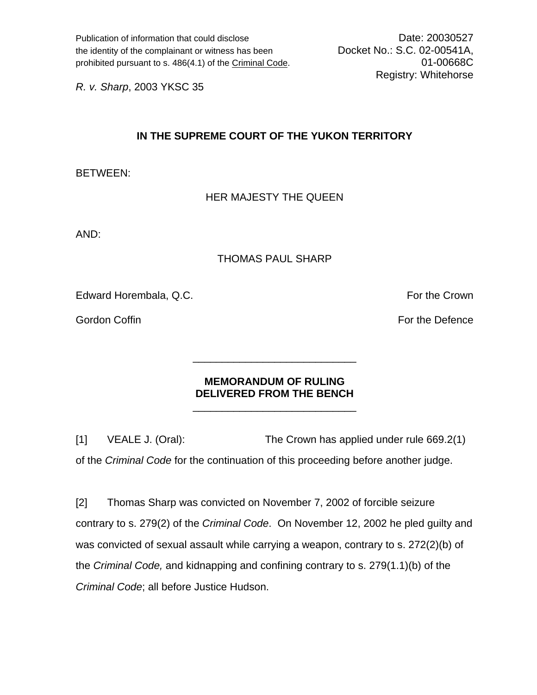Publication of information that could disclose Date: 20030527 the identity of the complainant or witness has been Docket No.: S.C. 02-00541A, prohibited pursuant to s. 486(4.1) of the Criminal Code. 01-00668C

Registry: Whitehorse

*R. v. Sharp*, 2003 YKSC 35

## **IN THE SUPREME COURT OF THE YUKON TERRITORY**

BETWEEN:

## HER MAJESTY THE QUEEN

AND:

## THOMAS PAUL SHARP

Edward Horembala, Q.C. **For the Crown** 

Gordon Coffin For the Defence Corp. The Defence of the Defence of the Defence of the Defence

## **MEMORANDUM OF RULING DELIVERED FROM THE BENCH**

 $\frac{1}{\sqrt{2}}$  ,  $\frac{1}{\sqrt{2}}$  ,  $\frac{1}{\sqrt{2}}$  ,  $\frac{1}{\sqrt{2}}$  ,  $\frac{1}{\sqrt{2}}$  ,  $\frac{1}{\sqrt{2}}$  ,  $\frac{1}{\sqrt{2}}$  ,  $\frac{1}{\sqrt{2}}$  ,  $\frac{1}{\sqrt{2}}$  ,  $\frac{1}{\sqrt{2}}$  ,  $\frac{1}{\sqrt{2}}$  ,  $\frac{1}{\sqrt{2}}$  ,  $\frac{1}{\sqrt{2}}$  ,  $\frac{1}{\sqrt{2}}$  ,  $\frac{1}{\sqrt{2}}$ 

 $\frac{1}{\sqrt{2}}$  ,  $\frac{1}{\sqrt{2}}$  ,  $\frac{1}{\sqrt{2}}$  ,  $\frac{1}{\sqrt{2}}$  ,  $\frac{1}{\sqrt{2}}$  ,  $\frac{1}{\sqrt{2}}$  ,  $\frac{1}{\sqrt{2}}$  ,  $\frac{1}{\sqrt{2}}$  ,  $\frac{1}{\sqrt{2}}$  ,  $\frac{1}{\sqrt{2}}$  ,  $\frac{1}{\sqrt{2}}$  ,  $\frac{1}{\sqrt{2}}$  ,  $\frac{1}{\sqrt{2}}$  ,  $\frac{1}{\sqrt{2}}$  ,  $\frac{1}{\sqrt{2}}$ 

[1] VEALE J. (Oral): The Crown has applied under rule 669.2(1) of the *Criminal Code* for the continuation of this proceeding before another judge.

[2] Thomas Sharp was convicted on November 7, 2002 of forcible seizure contrary to s. 279(2) of the *Criminal Code*. On November 12, 2002 he pled guilty and was convicted of sexual assault while carrying a weapon, contrary to s. 272(2)(b) of the *Criminal Code,* and kidnapping and confining contrary to s. 279(1.1)(b) of the *Criminal Code*; all before Justice Hudson.